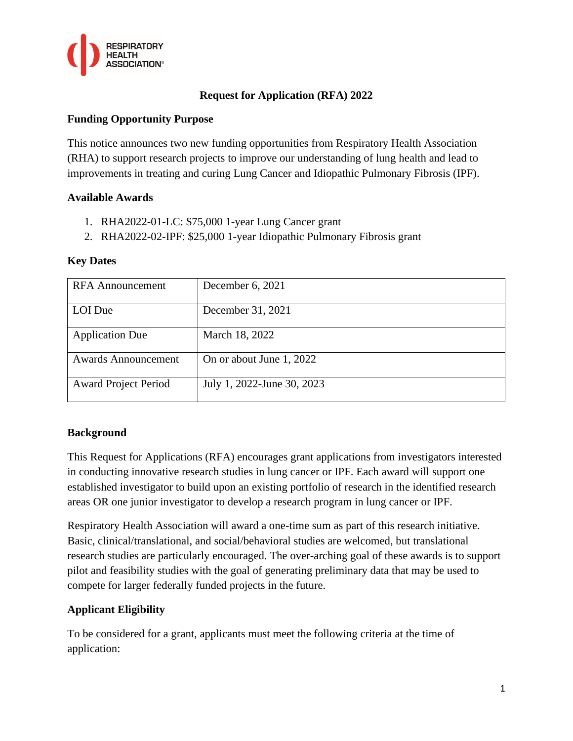

# **Request for Application (RFA) 2022**

# **Funding Opportunity Purpose**

This notice announces two new funding opportunities from Respiratory Health Association (RHA) to support research projects to improve our understanding of lung health and lead to improvements in treating and curing Lung Cancer and Idiopathic Pulmonary Fibrosis (IPF).

## **Available Awards**

- 1. RHA2022-01-LC: \$75,000 1-year Lung Cancer grant
- 2. RHA2022-02-IPF: \$25,000 1-year Idiopathic Pulmonary Fibrosis grant

## **Key Dates**

| <b>RFA</b> Announcement     | December 6, 2021           |
|-----------------------------|----------------------------|
| LOI Due                     | December 31, 2021          |
| <b>Application Due</b>      | March 18, 2022             |
| <b>Awards Announcement</b>  | On or about June 1, 2022   |
| <b>Award Project Period</b> | July 1, 2022-June 30, 2023 |

# **Background**

This Request for Applications (RFA) encourages grant applications from investigators interested in conducting innovative research studies in lung cancer or IPF. Each award will support one established investigator to build upon an existing portfolio of research in the identified research areas OR one junior investigator to develop a research program in lung cancer or IPF.

Respiratory Health Association will award a one-time sum as part of this research initiative. Basic, clinical/translational, and social/behavioral studies are welcomed, but translational research studies are particularly encouraged. The over-arching goal of these awards is to support pilot and feasibility studies with the goal of generating preliminary data that may be used to compete for larger federally funded projects in the future.

# **Applicant Eligibility**

To be considered for a grant, applicants must meet the following criteria at the time of application: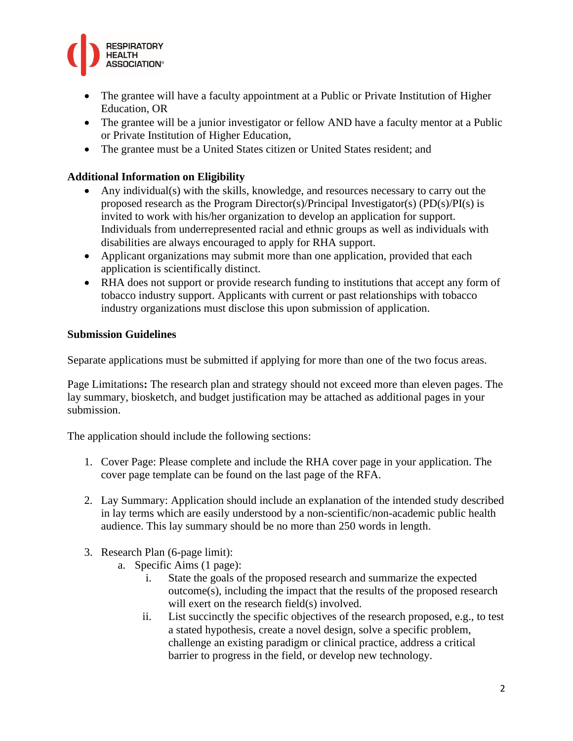

- The grantee will have a faculty appointment at a Public or Private Institution of Higher Education, OR
- The grantee will be a junior investigator or fellow AND have a faculty mentor at a Public or Private Institution of Higher Education,
- The grantee must be a United States citizen or United States resident; and

# **Additional Information on Eligibility**

- Any individual(s) with the skills, knowledge, and resources necessary to carry out the proposed research as the Program Director(s)/Principal Investigator(s) (PD(s)/PI(s) is invited to work with his/her organization to develop an application for support. Individuals from underrepresented racial and ethnic groups as well as individuals with disabilities are always encouraged to apply for RHA support.
- Applicant organizations may submit more than one application, provided that each application is scientifically distinct.
- RHA does not support or provide research funding to institutions that accept any form of tobacco industry support. Applicants with current or past relationships with tobacco industry organizations must disclose this upon submission of application.

# **Submission Guidelines**

Separate applications must be submitted if applying for more than one of the two focus areas.

Page Limitations**:** The research plan and strategy should not exceed more than eleven pages. The lay summary, biosketch, and budget justification may be attached as additional pages in your submission.

The application should include the following sections:

- 1. Cover Page: Please complete and include the RHA cover page in your application. The cover page template can be found on the last page of the RFA.
- 2. Lay Summary: Application should include an explanation of the intended study described in lay terms which are easily understood by a non-scientific/non-academic public health audience. This lay summary should be no more than 250 words in length.
- 3. Research Plan (6-page limit):
	- a. Specific Aims (1 page):
		- i. State the goals of the proposed research and summarize the expected outcome(s), including the impact that the results of the proposed research will exert on the research field(s) involved.
		- ii. List succinctly the specific objectives of the research proposed, e.g., to test a stated hypothesis, create a novel design, solve a specific problem, challenge an existing paradigm or clinical practice, address a critical barrier to progress in the field, or develop new technology.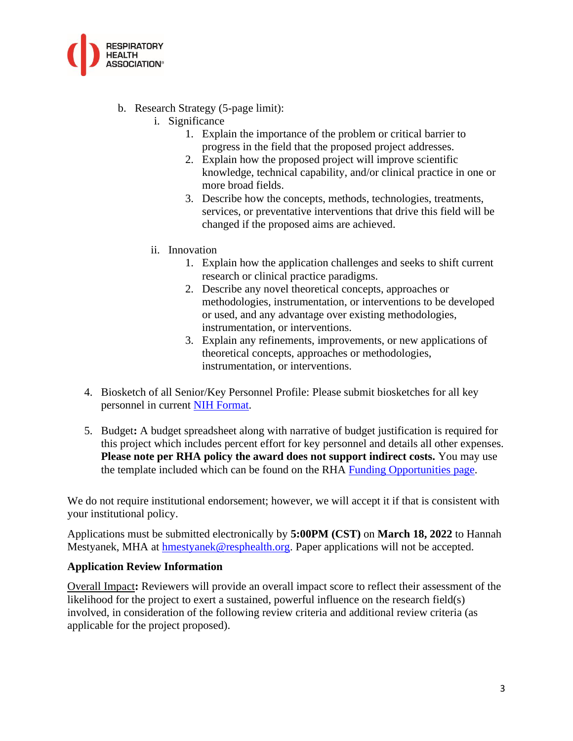

- b. Research Strategy (5-page limit):
	- i. Significance
		- 1. Explain the importance of the problem or critical barrier to progress in the field that the proposed project addresses.
		- 2. Explain how the proposed project will improve scientific knowledge, technical capability, and/or clinical practice in one or more broad fields.
		- 3. Describe how the concepts, methods, technologies, treatments, services, or preventative interventions that drive this field will be changed if the proposed aims are achieved.
	- ii. Innovation
		- 1. Explain how the application challenges and seeks to shift current research or clinical practice paradigms.
		- 2. Describe any novel theoretical concepts, approaches or methodologies, instrumentation, or interventions to be developed or used, and any advantage over existing methodologies, instrumentation, or interventions.
		- 3. Explain any refinements, improvements, or new applications of theoretical concepts, approaches or methodologies, instrumentation, or interventions.
- 4. Biosketch of all Senior/Key Personnel Profile: Please submit biosketches for all key personnel in current [NIH Format.](https://grants.nih.gov/grants/forms/biosketch.htm)
- 5. Budget**:** A budget spreadsheet along with narrative of budget justification is required for this project which includes percent effort for key personnel and details all other expenses. **Please note per RHA policy the award does not support indirect costs.** You may use the template included which can be found on the RHA [Funding Opportunities page.](https://resphealth.org/what-we-offer/research/funding-opportunities/)

We do not require institutional endorsement; however, we will accept it if that is consistent with your institutional policy.

Applications must be submitted electronically by **5:00PM (CST)** on **March 18, 2022** to Hannah Mestyanek, MHA at [hmestyanek@resphealth.org.](mailto:hmestyanek@resphealth.org) Paper applications will not be accepted.

#### **Application Review Information**

Overall Impact**:** Reviewers will provide an overall impact score to reflect their assessment of the likelihood for the project to exert a sustained, powerful influence on the research field(s) involved, in consideration of the following review criteria and additional review criteria (as applicable for the project proposed).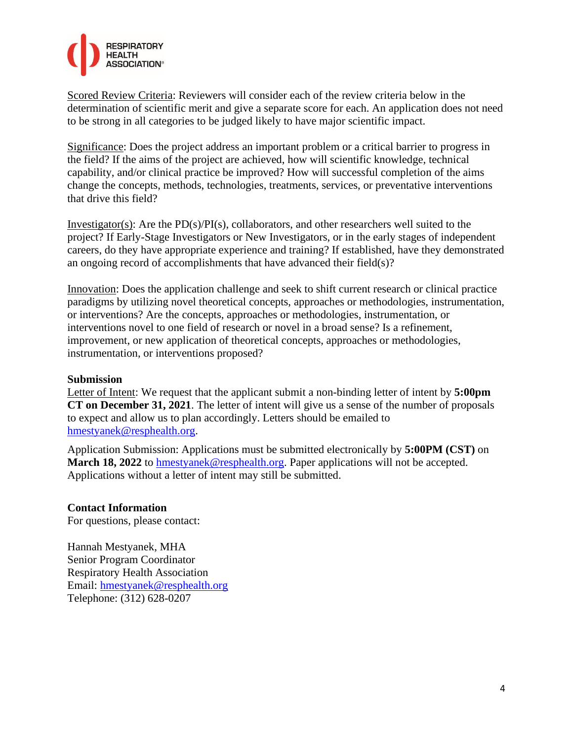

Scored Review Criteria: Reviewers will consider each of the review criteria below in the determination of scientific merit and give a separate score for each. An application does not need to be strong in all categories to be judged likely to have major scientific impact.

Significance: Does the project address an important problem or a critical barrier to progress in the field? If the aims of the project are achieved, how will scientific knowledge, technical capability, and/or clinical practice be improved? How will successful completion of the aims change the concepts, methods, technologies, treatments, services, or preventative interventions that drive this field?

Investigator(s): Are the  $PD(s)/PI(s)$ , collaborators, and other researchers well suited to the project? If Early-Stage Investigators or New Investigators, or in the early stages of independent careers, do they have appropriate experience and training? If established, have they demonstrated an ongoing record of accomplishments that have advanced their field(s)?

Innovation: Does the application challenge and seek to shift current research or clinical practice paradigms by utilizing novel theoretical concepts, approaches or methodologies, instrumentation, or interventions? Are the concepts, approaches or methodologies, instrumentation, or interventions novel to one field of research or novel in a broad sense? Is a refinement, improvement, or new application of theoretical concepts, approaches or methodologies, instrumentation, or interventions proposed?

#### **Submission**

Letter of Intent: We request that the applicant submit a non-binding letter of intent by **5:00pm CT on December 31, 2021**. The letter of intent will give us a sense of the number of proposals to expect and allow us to plan accordingly. Letters should be emailed to [hmestyanek@resphealth.org.](mailto:hmestyanek@resphealth.org)

Application Submission: Applications must be submitted electronically by **5:00PM (CST)** on **March 18, 2022** to [hmestyanek@resphealth.org.](mailto:hmestyanek@resphealth.org) Paper applications will not be accepted. Applications without a letter of intent may still be submitted.

# **Contact Information**

For questions, please contact:

Hannah Mestyanek, MHA Senior Program Coordinator Respiratory Health Association Email: [hmestyanek@resphealth.org](mailto:hmestyanek@resphealth.org) Telephone: (312) 628-0207